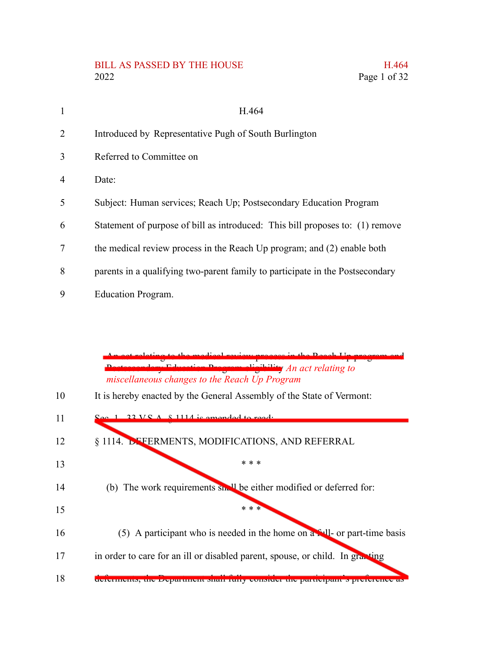### BILL AS PASSED BY THE HOUSE H.464 2022 Page 1 of 32

| $\mathbf{1}$   | H.464                                                                         |
|----------------|-------------------------------------------------------------------------------|
| $\overline{2}$ | Introduced by Representative Pugh of South Burlington                         |
| 3              | Referred to Committee on                                                      |
| $\overline{4}$ | Date:                                                                         |
| 5              | Subject: Human services; Reach Up; Postsecondary Education Program            |
| 6              | Statement of purpose of bill as introduced: This bill proposes to: (1) remove |
| 7              | the medical review process in the Reach Up program; and (2) enable both       |
| 8              | parents in a qualifying two-parent family to participate in the Postsecondary |
| 9              | <b>Education Program.</b>                                                     |

An act relating to the medical review process in the Reach Up program and Postsecondary Education Program eligibility *An act relating to miscellaneous changes to the Reach Up Program* It is hereby enacted by the General Assembly of the State of Vermont:  $33 \text{ V.S. A}$   $\&$  1114 is amended to read: § 1114. DEFERMENTS, MODIFICATIONS, AND REFERRAL \* \* \* (b) The work requirements small be either modified or deferred for: \* \* \* (5) A participant who is needed in the home on  $a \cdot 11$ - or part-time basis in order to care for an ill or disabled parent, spouse, or child. In granting deferments, the Department shall fully consider the participant's preference a 10 11 12 13 14 15 16 17 18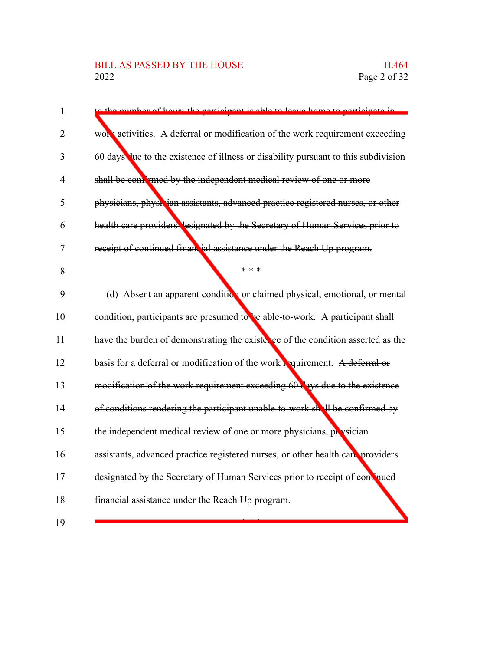# BILL AS PASSED BY THE HOUSE H.464<br>2022 Page 2 of 32

| $\mathbf{1}$   | umber of hours the perticipant is able to leave home to perticipate in             |
|----------------|------------------------------------------------------------------------------------|
| 2              | work activities. A deferral or modification of the work requirement exceeding      |
| 3              | 60 days lue to the existence of illness or disability pursuant to this subdivision |
| $\overline{4}$ | shall be compressed by the independent medical review of one or more               |
| 5              | physicians, physician assistants, advanced practice registered nurses, or other    |
| 6              | health care providers lesignated by the Secretary of Human Services prior to       |
| 7              | receipt of continued finantial assistance under the Reach Up program.              |
| 8              | * * *                                                                              |
| 9              | (d) Absent an apparent condition or claimed physical, emotional, or mental         |
| 10             | condition, participants are presumed to be able-to-work. A participant shall       |
| 11             | have the burden of demonstrating the existence of the condition asserted as the    |
| 12             | basis for a deferral or modification of the work requirement. A deferral or        |
| 13             | modification of the work requirement exceeding 60 ays due to the existence         |
| 14             | of conditions rendering the participant unable-to-work shell be confirmed by       |
| 15             | the independent medical review of one or more physicians, physician                |
| 16             | assistants, advanced practice registered nurses, or other health care providers    |
| 17             | designated by the Secretary of Human Services prior to receipt of continued        |
| 18             | financial assistance under the Reach Up program.                                   |
| 19             |                                                                                    |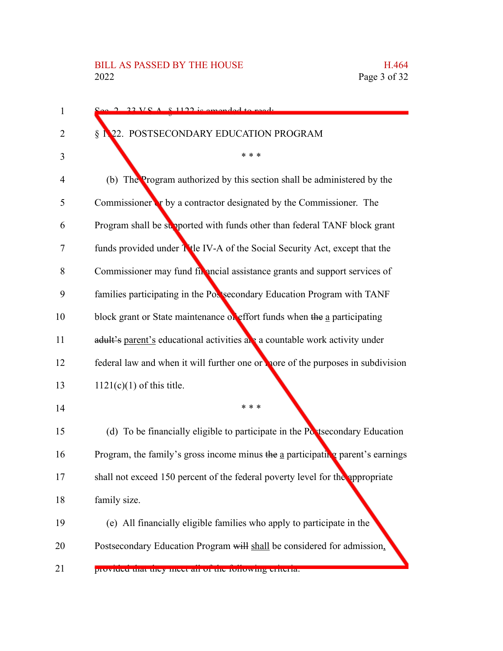| 1  | $22 \text{ V} \text{C}$ $\Lambda$ $\text{R}$ 1122 is amended to read.                        |
|----|----------------------------------------------------------------------------------------------|
| 2  | 22. POSTSECONDARY EDUCATION PROGRAM<br>§                                                     |
| 3  | * * *                                                                                        |
| 4  | (b) The Program authorized by this section shall be administered by the                      |
| 5  | Commissioner or by a contractor designated by the Commissioner. The                          |
| 6  | Program shall be supported with funds other than federal TANF block grant                    |
| 7  | funds provided under Ttle IV-A of the Social Security Act, except that the                   |
| 8  | Commissioner may fund fix ancial assistance grants and support services of                   |
| 9  | families participating in the Postsecondary Education Program with TANF                      |
| 10 | block grant or State maintenance of effort funds when the a participating                    |
| 11 | adult's parent's educational activities are a countable work activity under                  |
| 12 | federal law and when it will further one or nore of the purposes in subdivision              |
| 13 | $1121(c)(1)$ of this title.                                                                  |
| 14 | * * *                                                                                        |
| 15 | (d) To be financially eligible to participate in the Postsecondary Education                 |
| 16 | Program, the family's gross income minus the $\underline{a}$ participating parent's earnings |
| 17 | shall not exceed 150 percent of the federal poverty level for the appropriate                |
| 18 | family size.                                                                                 |
| 19 | (e) All financially eligible families who apply to participate in the                        |
| 20 | Postsecondary Education Program will shall be considered for admission,                      |
| 21 | provided that they meet all of the following eriteria.                                       |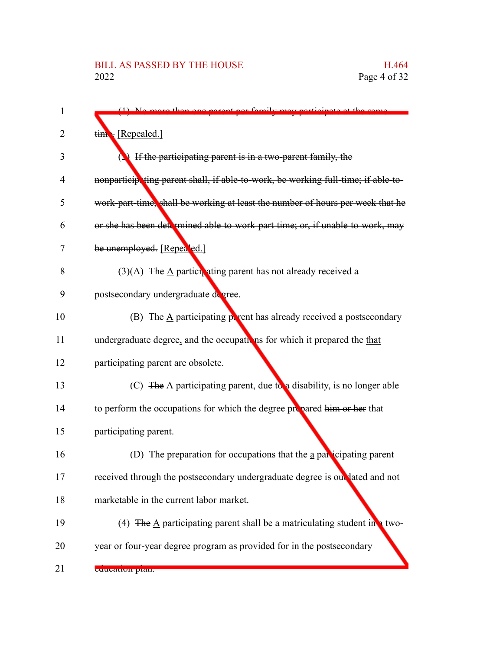| 1  | $(1)$ No mars than ang narant nor fan                                                           |
|----|-------------------------------------------------------------------------------------------------|
| 2  | tim [Repealed.]                                                                                 |
| 3  | If the participating parent is in a two-parent family, the                                      |
| 4  | nonparticipating parent shall, if able-to-work, be working full-time; if able-to-               |
| 5  | work-part-time, shall be working at least the number of hours per week that he                  |
| 6  | or she has been determined able-to-work-part-time; or, if unable-to-work, may                   |
| 7  | be unemployed. [Repealed.]                                                                      |
| 8  | $(3)(A)$ The A particle ating parent has not already received a                                 |
| 9  | postsecondary undergraduate degree.                                                             |
| 10 | (B) The $\underline{A}$ participating $\underline{p}$ rent has already received a postsecondary |
| 11 | undergraduate degree, and the occupations for which it prepared the that                        |
| 12 | participating parent are obsolete.                                                              |
| 13 | (C) The $\underline{A}$ participating parent, due to a disability, is no longer able            |
| 14 | to perform the occupations for which the degree propared him or her that                        |
| 15 | participating parent.                                                                           |
| 16 | (D) The preparation for occupations that the a participating parent                             |
| 17 | received through the postsecondary undergraduate degree is out lated and not                    |
| 18 | marketable in the current labor market.                                                         |
| 19 | (4) The $\underline{A}$ participating parent shall be a matriculating student in a two-         |
| 20 | year or four-year degree program as provided for in the postsecondary                           |
| 21 | cuucation pian.                                                                                 |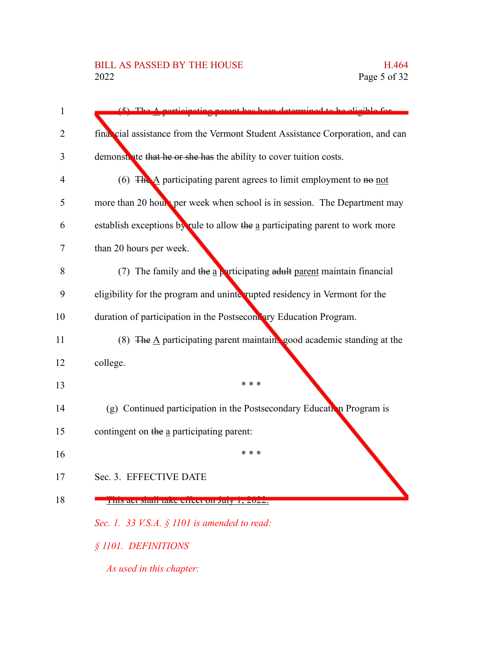# BILL AS PASSED BY THE HOUSE H.464<br>2022 Page 5 of 32

| 1  | grant has been determined to be eligible for                                            |
|----|-----------------------------------------------------------------------------------------|
| 2  | final cial assistance from the Vermont Student Assistance Corporation, and can          |
| 3  | demonstrate that he or she has the ability to cover tuition costs.                      |
| 4  | (6) $\overline{\text{The A}}$ participating parent agrees to limit employment to no not |
| 5  | more than 20 hours per week when school is in session. The Department may               |
| 6  | establish exceptions by rule to allow the a participating parent to work more           |
| 7  | than 20 hours per week.                                                                 |
| 8  | (7) The family and the $\underline{a}$ participating adult parent maintain financial    |
| 9  | eligibility for the program and uninterupted residency in Vermont for the               |
| 10 | duration of participation in the Postsecondary Education Program.                       |
| 11 | (8) The $\underline{A}$ participating parent maintains good academic standing at the    |
| 12 | college.                                                                                |
| 13 | * * *                                                                                   |
| 14 | (g) Continued participation in the Postsecondary Education Program is                   |
| 15 | contingent on the a participating parent:                                               |
| 16 | * * *                                                                                   |
|    | Sec. 3. EFFECTIVE DATE                                                                  |
| 18 | THIS art shall take effect on July 1, 2022.                                             |
|    | Sec. 1. 33 V.S.A. $\S$ 1101 is amended to read:                                         |
|    | § 1101. DEFINITIONS                                                                     |
|    | As used in this chapter:                                                                |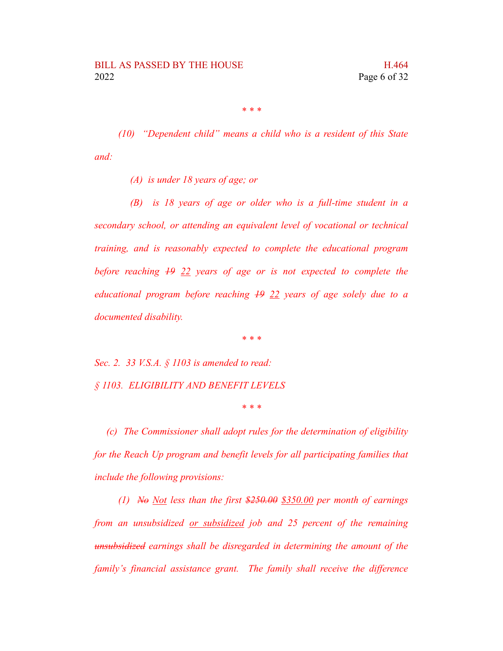*\* \* \**

*(10) "Dependent child" means a child who is a resident of this State and:*

*(A) is under 18 years of age; or*

*(B) is 18 years of age or older who is a full-time student in a secondary school, or attending an equivalent level of vocational or technical training, and is reasonably expected to complete the educational program before reaching 19 22 years of age or is not expected to complete the educational program before reaching 19 22 years of age solely due to a documented disability.*

*\* \* \**

*Sec. 2. 33 V.S.A. § 1103 is amended to read: § 1103. ELIGIBILITY AND BENEFIT LEVELS*

*\* \* \**

*(c) The Commissioner shall adopt rules for the determination of eligibility for the Reach Up program and benefit levels for all participating families that include the following provisions:*

*(1) No Not less than the first \$250.00 \$350.00 per month of earnings from an unsubsidized or subsidized job and 25 percent of the remaining unsubsidized earnings shall be disregarded in determining the amount of the family's financial assistance grant. The family shall receive the difference*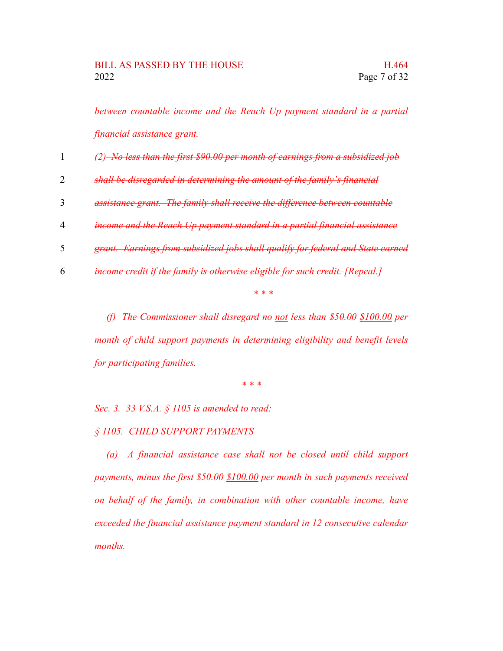*between countable income and the Reach Up payment standard in a partial financial assistance grant.*

|  |  | $(2)$ No less than the first \$90.00 per month of earnings from a subsidized job |  |  |  |  |  |  |  |  |  |  |  |  |  |  |  |  |  |  |  |  |
|--|--|----------------------------------------------------------------------------------|--|--|--|--|--|--|--|--|--|--|--|--|--|--|--|--|--|--|--|--|
|  |  |                                                                                  |  |  |  |  |  |  |  |  |  |  |  |  |  |  |  |  |  |  |  |  |

- *shall be disregarded in determining the amount of the family's financial* 2
- *assistance grant. The family shall receive the difference between countable* 3
- *income and the Reach Up payment standard in a partial financial assistance* 4
- *grant. Earnings from subsidized jobs shall qualify for federal and State earned* 5
- *income credit if the family is otherwise eligible for such credit. [Repeal.]* 6

*\* \* \**

*(f) The Commissioner shall disregard no not less than \$50.00 \$100.00 per month of child support payments in determining eligibility and benefit levels for participating families.*

*\* \* \**

*Sec. 3. 33 V.S.A. § 1105 is amended to read:*

*§ 1105. CHILD SUPPORT PAYMENTS*

*(a) A financial assistance case shall not be closed until child support payments, minus the first \$50.00 \$100.00 per month in such payments received on behalf of the family, in combination with other countable income, have exceeded the financial assistance payment standard in 12 consecutive calendar months.*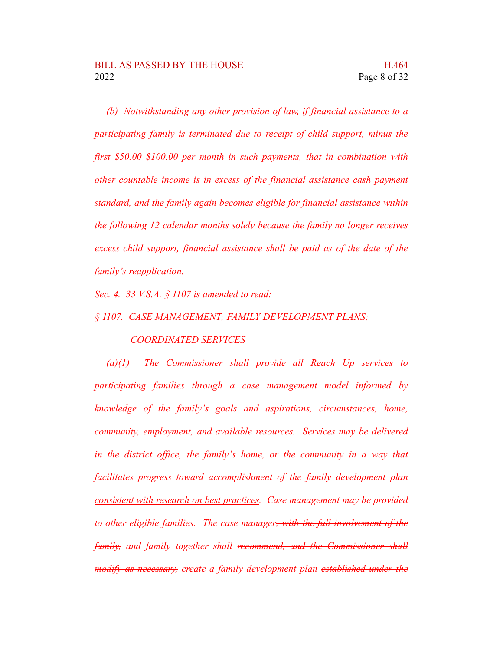*(b) Notwithstanding any other provision of law, if financial assistance to a participating family is terminated due to receipt of child support, minus the first \$50.00 \$100.00 per month in such payments, that in combination with other countable income is in excess of the financial assistance cash payment standard, and the family again becomes eligible for financial assistance within the following 12 calendar months solely because the family no longer receives excess child support, financial assistance shall be paid as of the date of the family's reapplication.*

*Sec. 4. 33 V.S.A. § 1107 is amended to read:*

#### *§ 1107. CASE MANAGEMENT; FAMILY DEVELOPMENT PLANS;*

#### *COORDINATED SERVICES*

*(a)(1) The Commissioner shall provide all Reach Up services to participating families through a case management model informed by knowledge of the family's goals and aspirations, circumstances, home, community, employment, and available resources. Services may be delivered in the district office, the family's home, or the community in a way that facilitates progress toward accomplishment of the family development plan consistent with research on best practices. Case management may be provided to other eligible families. The case manager, with the full involvement of the family, and family together shall recommend, and the Commissioner shall modify as necessary, create a family development plan established under the*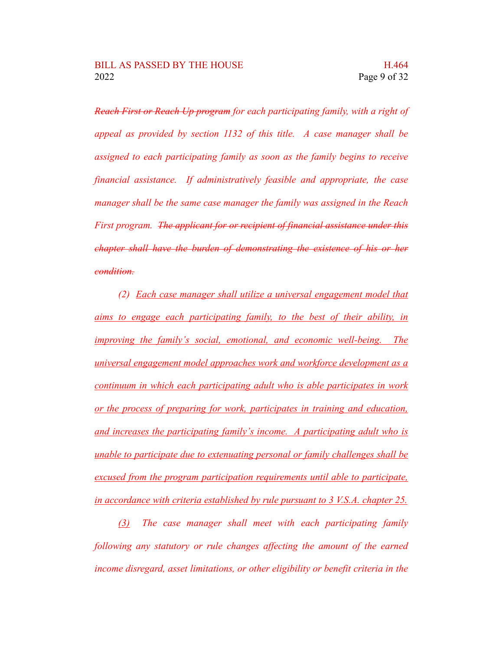*Reach First or Reach Up program for each participating family, with a right of appeal as provided by section 1132 of this title. A case manager shall be assigned to each participating family as soon as the family begins to receive financial assistance. If administratively feasible and appropriate, the case manager shall be the same case manager the family was assigned in the Reach First program. The applicant for or recipient of financial assistance under this chapter shall have the burden of demonstrating the existence of his or her condition.*

*(2) Each case manager shall utilize a universal engagement model that aims to engage each participating family, to the best of their ability, in improving the family's social, emotional, and economic well-being. The universal engagement model approaches work and workforce development as a continuum in which each participating adult who is able participates in work or the process of preparing for work, participates in training and education, and increases the participating family's income. A participating adult who is unable to participate due to extenuating personal or family challenges shall be excused from the program participation requirements until able to participate, in accordance with criteria established by rule pursuant to 3 V.S.A. chapter 25.*

*(3) The case manager shall meet with each participating family following any statutory or rule changes affecting the amount of the earned income disregard, asset limitations, or other eligibility or benefit criteria in the*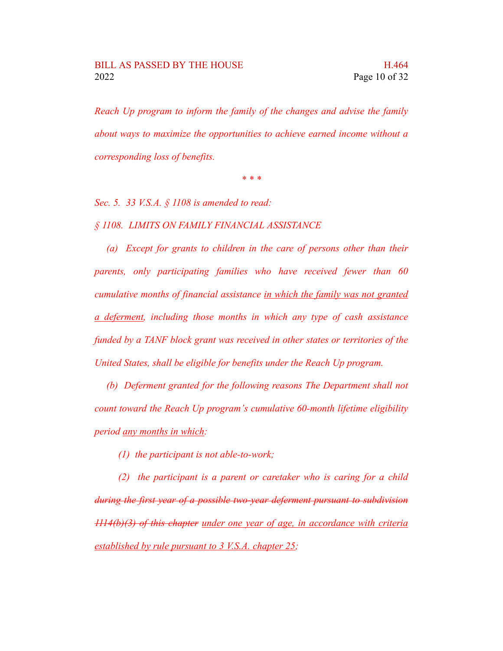*Reach Up program to inform the family of the changes and advise the family about ways to maximize the opportunities to achieve earned income without a corresponding loss of benefits.*

*\* \* \**

*Sec. 5. 33 V.S.A. § 1108 is amended to read:*

*§ 1108. LIMITS ON FAMILY FINANCIAL ASSISTANCE*

*(a) Except for grants to children in the care of persons other than their parents, only participating families who have received fewer than 60 cumulative months of financial assistance in which the family was not granted a deferment, including those months in which any type of cash assistance funded by a TANF block grant was received in other states or territories of the United States, shall be eligible for benefits under the Reach Up program.*

*(b) Deferment granted for the following reasons The Department shall not count toward the Reach Up program's cumulative 60-month lifetime eligibility period any months in which:*

*(1) the participant is not able-to-work;*

*(2) the participant is a parent or caretaker who is caring for a child during the first year of a possible two-year deferment pursuant to subdivision 1114(b)(3) of this chapter under one year of age, in accordance with criteria established by rule pursuant to 3 V.S.A. chapter 25;*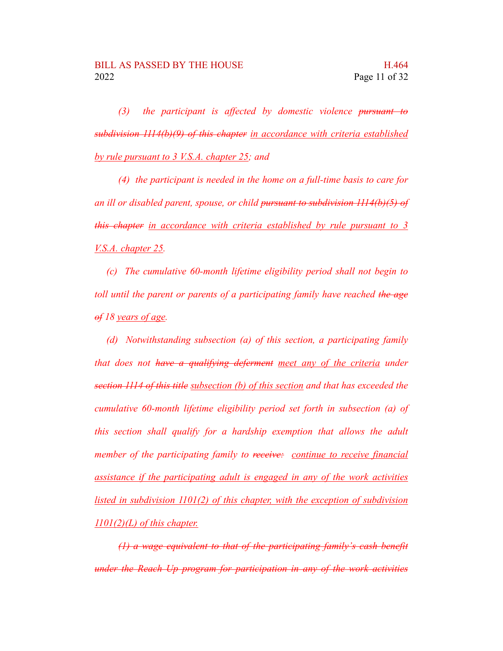*(3) the participant is affected by domestic violence pursuant to subdivision 1114(b)(9) of this chapter in accordance with criteria established by rule pursuant to 3 V.S.A. chapter 25; and*

*(4) the participant is needed in the home on a full-time basis to care for an ill or disabled parent, spouse, or child pursuant to subdivision 1114(b)(5) of this chapter in accordance with criteria established by rule pursuant to 3 V.S.A. chapter 25.*

*(c) The cumulative 60-month lifetime eligibility period shall not begin to toll until the parent or parents of a participating family have reached the age of 18 years of age.*

*(d) Notwithstanding subsection (a) of this section, a participating family that does not have a qualifying deferment meet any of the criteria under section 1114 of this title subsection (b) of this section and that has exceeded the cumulative 60-month lifetime eligibility period set forth in subsection (a) of this section shall qualify for a hardship exemption that allows the adult member of the participating family to receive: continue to receive financial assistance if the participating adult is engaged in any of the work activities listed in subdivision 1101(2) of this chapter, with the exception of subdivision 1101(2)(L) of this chapter.*

*(1) a wage equivalent to that of the participating family's cash benefit under the Reach Up program for participation in any of the work activities*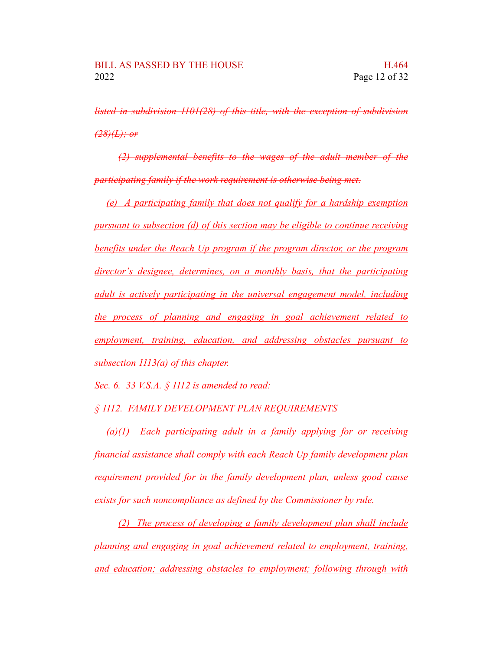*listed in subdivision 1101(28) of this title, with the exception of subdivision (28)(L); or*

*(2) supplemental benefits to the wages of the adult member of the participating family if the work requirement is otherwise being met.*

*(e) A participating family that does not qualify for a hardship exemption pursuant to subsection (d) of this section may be eligible to continue receiving benefits under the Reach Up program if the program director, or the program director's designee, determines, on a monthly basis, that the participating adult is actively participating in the universal engagement model, including the process of planning and engaging in goal achievement related to employment, training, education, and addressing obstacles pursuant to subsection 1113(a) of this chapter.*

*Sec. 6. 33 V.S.A. § 1112 is amended to read:*

#### *§ 1112. FAMILY DEVELOPMENT PLAN REQUIREMENTS*

*(a)(1) Each participating adult in a family applying for or receiving financial assistance shall comply with each Reach Up family development plan requirement provided for in the family development plan, unless good cause exists for such noncompliance as defined by the Commissioner by rule.*

*(2) The process of developing a family development plan shall include planning and engaging in goal achievement related to employment, training, and education; addressing obstacles to employment; following through with*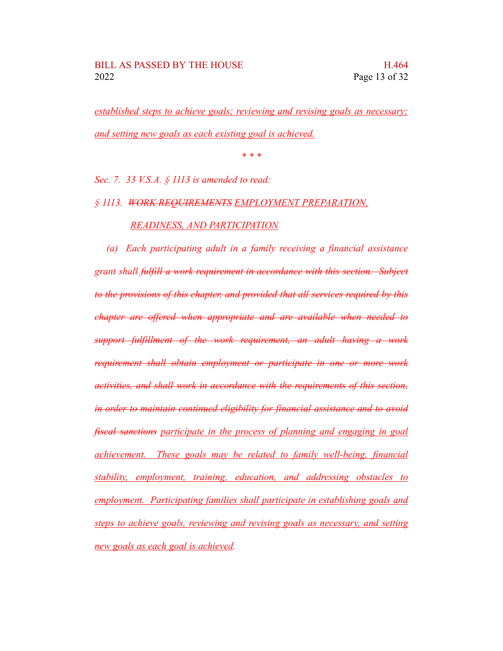*established steps to achieve goals; reviewing and revising goals as necessary; and setting new goals as each existing goal is achieved.*

*\* \* \**

*Sec. 7. 33 V.S.A. § 1113 is amended to read:*

### *§ 1113. WORK REQUIREMENTS EMPLOYMENT PREPARATION, READINESS, AND PARTICIPATION*

*(a) Each participating adult in a family receiving a financial assistance grant shall fulfill a work requirement in accordance with this section. Subject to the provisions of this chapter, and provided that all services required by this chapter are offered when appropriate and are available when needed to support fulfillment of the work requirement, an adult having a work requirement shall obtain employment or participate in one or more work activities, and shall work in accordance with the requirements of this section, in order to maintain continued eligibility for financial assistance and to avoid fiscal sanctions participate in the process of planning and engaging in goal achievement. These goals may be related to family well-being, financial stability, employment, training, education, and addressing obstacles to employment. Participating families shall participate in establishing goals and steps to achieve goals, reviewing and revising goals as necessary, and setting new goals as each goal is achieved.*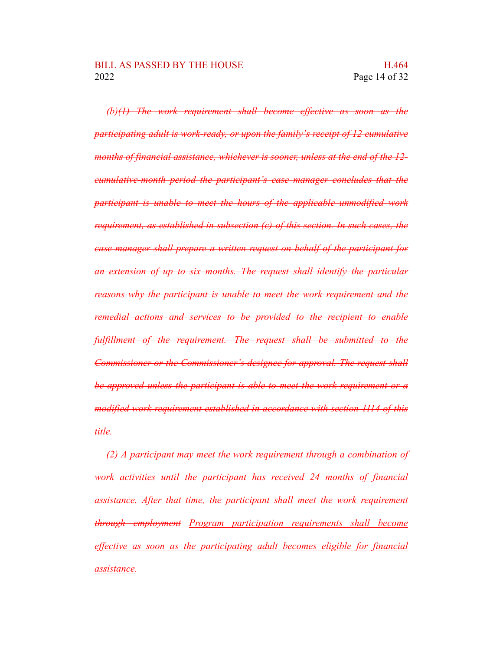*(b)(1) The work requirement shall become effective as soon as the participating adult is work-ready, or upon the family's receipt of 12 cumulative months of financial assistance, whichever is sooner, unless at the end of the 12 cumulative-month period the participant's case manager concludes that the participant is unable to meet the hours of the applicable unmodified work requirement, as established in subsection (c) of this section. In such cases, the case manager shall prepare a written request on behalf of the participant for an extension of up to six months. The request shall identify the particular reasons why the participant is unable to meet the work requirement and the remedial actions and services to be provided to the recipient to enable fulfillment of the requirement. The request shall be submitted to the Commissioner or the Commissioner's designee for approval. The request shall be approved unless the participant is able to meet the work requirement or a modified work requirement established in accordance with section 1114 of this title.*

*(2) A participant may meet the work requirement through a combination of work activities until the participant has received 24 months of financial assistance. After that time, the participant shall meet the work requirement through employment Program participation requirements shall become effective as soon as the participating adult becomes eligible for financial assistance.*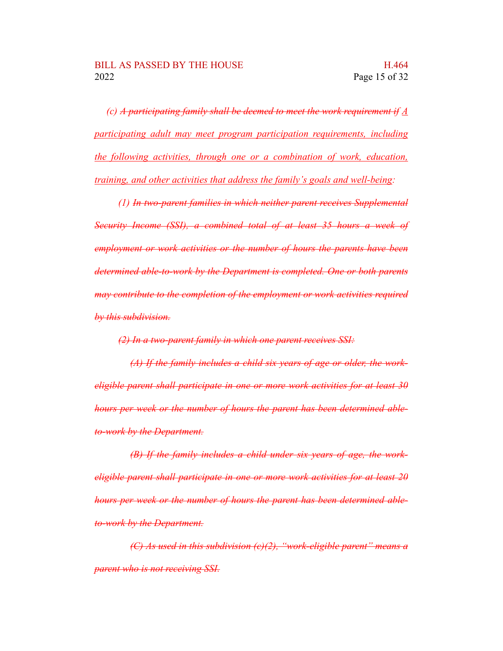*(c) A participating family shall be deemed to meet the work requirement if A participating adult may meet program participation requirements, including the following activities, through one or a combination of work, education, training, and other activities that address the family's goals and well-being:*

*(1) In two-parent families in which neither parent receives Supplemental Security Income (SSI), a combined total of at least 35 hours a week of employment or work activities or the number of hours the parents have been determined able-to-work by the Department is completed. One or both parents may contribute to the completion of the employment or work activities required by this subdivision.*

*(2) In a two-parent family in which one parent receives SSI:*

*(A) If the family includes a child six years of age or older, the workeligible parent shall participate in one or more work activities for at least 30 hours per week or the number of hours the parent has been determined ableto-work by the Department.*

*(B) If the family includes a child under six years of age, the workeligible parent shall participate in one or more work activities for at least 20 hours per week or the number of hours the parent has been determined ableto-work by the Department.*

*(C) As used in this subdivision (c)(2), "work-eligible parent" means a parent who is not receiving SSI.*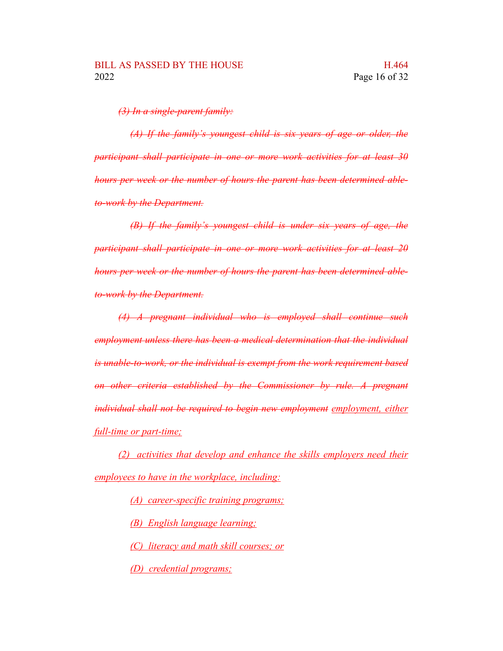*(3) In a single-parent family:*

*(A) If the family's youngest child is six years of age or older, the participant shall participate in one or more work activities for at least 30 hours per week or the number of hours the parent has been determined ableto-work by the Department.*

*(B) If the family's youngest child is under six years of age, the participant shall participate in one or more work activities for at least 20 hours per week or the number of hours the parent has been determined ableto-work by the Department.*

*(4) A pregnant individual who is employed shall continue such employment unless there has been a medical determination that the individual is unable-to-work, or the individual is exempt from the work requirement based on other criteria established by the Commissioner by rule. A pregnant individual shall not be required to begin new employment employment, either full-time or part-time;*

*(2) activities that develop and enhance the skills employers need their employees to have in the workplace, including:*

*(A) career-specific training programs;*

*(B) English language learning;*

*(C) literacy and math skill courses; or*

*(D) credential programs;*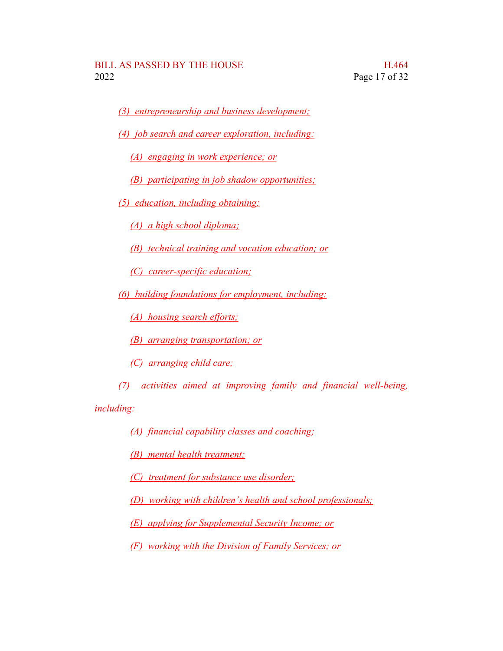*(3) entrepreneurship and business development;*

*(4) job search and career exploration, including:*

*(A) engaging in work experience; or*

*(B) participating in job shadow opportunities;*

*(5) education, including obtaining:*

*(A) a high school diploma;*

*(B) technical training and vocation education; or*

*(C) career-specific education;*

*(6) building foundations for employment, including:*

*(A) housing search efforts;*

*(B) arranging transportation; or*

*(C) arranging child care;*

*(7) activities aimed at improving family and financial well-being,*

*including:*

*(A) financial capability classes and coaching;*

*(B) mental health treatment;*

*(C) treatment for substance use disorder;*

*(D) working with children's health and school professionals;*

*(E) applying for Supplemental Security Income; or*

*(F) working with the Division of Family Services; or*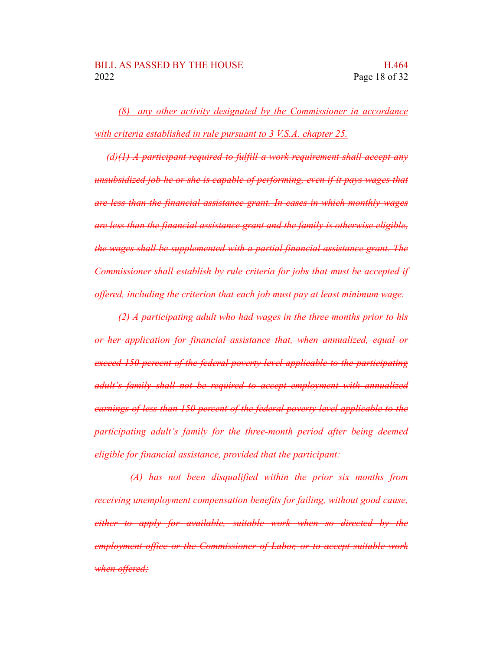*(8) any other activity designated by the Commissioner in accordance with criteria established in rule pursuant to 3 V.S.A. chapter 25.*

*(d)(1) A participant required to fulfill a work requirement shall accept any unsubsidized job he or she is capable of performing, even if it pays wages that are less than the financial assistance grant. In cases in which monthly wages are less than the financial assistance grant and the family is otherwise eligible, the wages shall be supplemented with a partial financial assistance grant. The Commissioner shall establish by rule criteria for jobs that must be accepted if offered, including the criterion that each job must pay at least minimum wage.*

*(2) A participating adult who had wages in the three months prior to his or her application for financial assistance that, when annualized, equal or exceed 150 percent of the federal poverty level applicable to the participating adult's family shall not be required to accept employment with annualized earnings of less than 150 percent of the federal poverty level applicable to the participating adult's family for the three-month period after being deemed eligible for financial assistance, provided that the participant:*

*(A) has not been disqualified within the prior six months from receiving unemployment compensation benefits for failing, without good cause, either to apply for available, suitable work when so directed by the employment office or the Commissioner of Labor, or to accept suitable work when offered;*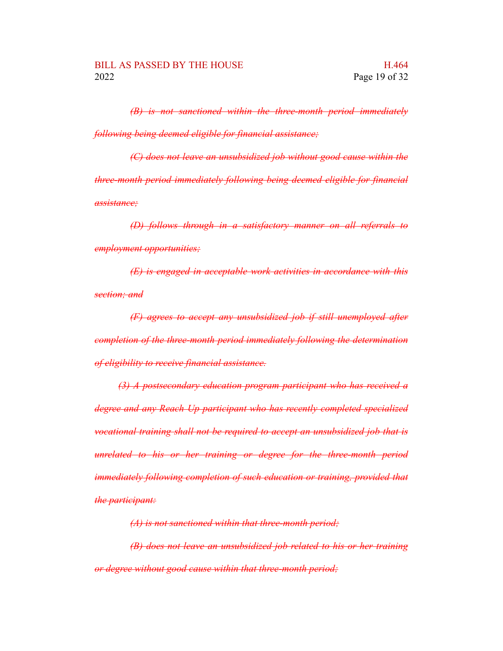*(B) is not sanctioned within the three-month period immediately following being deemed eligible for financial assistance;*

*(C) does not leave an unsubsidized job without good cause within the three-month period immediately following being deemed eligible for financial assistance;*

*(D) follows through in a satisfactory manner on all referrals to employment opportunities;*

*(E) is engaged in acceptable work activities in accordance with this section; and*

*(F) agrees to accept any unsubsidized job if still unemployed after completion of the three-month period immediately following the determination of eligibility to receive financial assistance.*

*(3) A postsecondary education program participant who has received a degree and any Reach Up participant who has recently completed specialized vocational training shall not be required to accept an unsubsidized job that is unrelated to his or her training or degree for the three-month period immediately following completion of such education or training, provided that the participant:*

*(A) is not sanctioned within that three-month period;*

*(B) does not leave an unsubsidized job related to his or her training or degree without good cause within that three-month period;*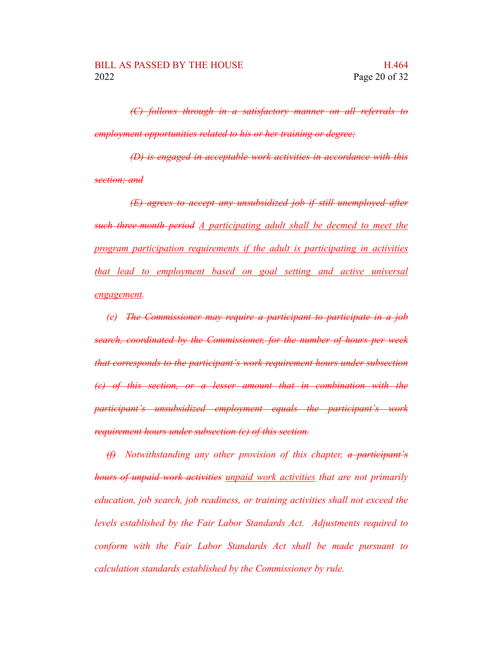*(C) follows through in a satisfactory manner on all referrals to employment opportunities related to his or her training or degree;*

*(D) is engaged in acceptable work activities in accordance with this section; and*

*(E) agrees to accept any unsubsidized job if still unemployed after such three-month period A participating adult shall be deemed to meet the program participation requirements if the adult is participating in activities that lead to employment based on goal setting and active universal engagement.*

*(e) The Commissioner may require a participant to participate in a job search, coordinated by the Commissioner, for the number of hours per week that corresponds to the participant's work requirement hours under subsection (c) of this section, or a lesser amount that in combination with the participant's unsubsidized employment equals the participant's work requirement hours under subsection (c) of this section.*

*(f) Notwithstanding any other provision of this chapter, a participant's hours of unpaid work activities unpaid work activities that are not primarily education, job search, job readiness, or training activities shall not exceed the levels established by the Fair Labor Standards Act. Adjustments required to conform with the Fair Labor Standards Act shall be made pursuant to calculation standards established by the Commissioner by rule.*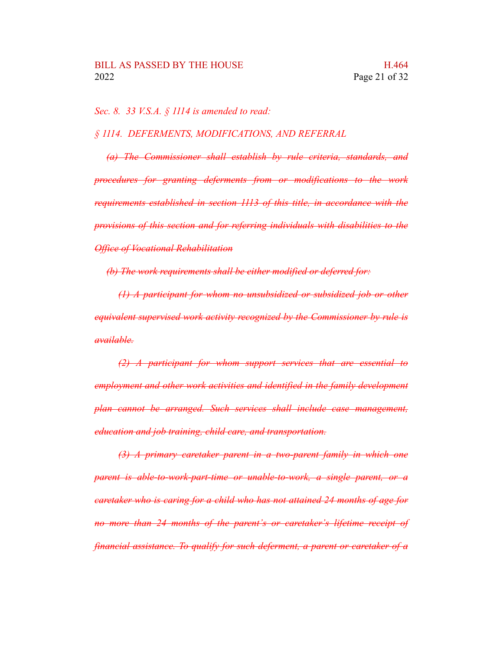*Sec. 8. 33 V.S.A. § 1114 is amended to read:*

*§ 1114. DEFERMENTS, MODIFICATIONS, AND REFERRAL*

*(a) The Commissioner shall establish by rule criteria, standards, and procedures for granting deferments from or modifications to the work requirements established in section 1113 of this title, in accordance with the provisions of this section and for referring individuals with disabilities to the Office of Vocational Rehabilitation*

*(b) The work requirements shall be either modified or deferred for:*

*(1) A participant for whom no unsubsidized or subsidized job or other equivalent supervised work activity recognized by the Commissioner by rule is available.*

*(2) A participant for whom support services that are essential to employment and other work activities and identified in the family development plan cannot be arranged. Such services shall include case management, education and job training, child care, and transportation.*

*(3) A primary caretaker parent in a two-parent family in which one parent is able-to-work-part-time or unable-to-work, a single parent, or a caretaker who is caring for a child who has not attained 24 months of age for no more than 24 months of the parent's or caretaker's lifetime receipt of financial assistance. To qualify for such deferment, a parent or caretaker of a*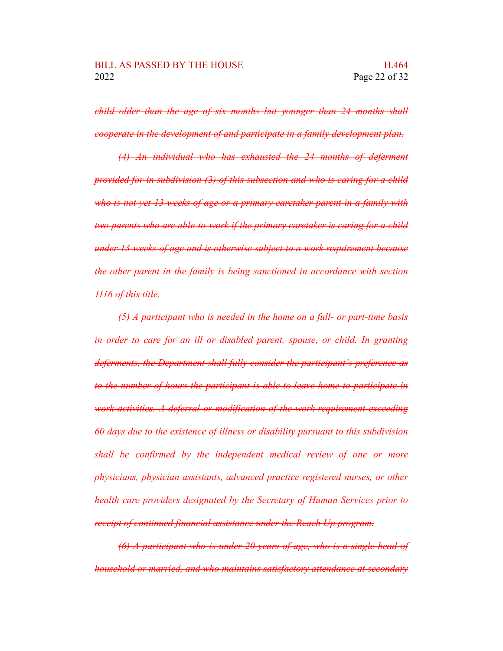*child older than the age of six months but younger than 24 months shall cooperate in the development of and participate in a family development plan.*

*(4) An individual who has exhausted the 24 months of deferment provided for in subdivision (3) of this subsection and who is caring for a child who is not yet 13 weeks of age or a primary caretaker parent in a family with two parents who are able-to-work if the primary caretaker is caring for a child under 13 weeks of age and is otherwise subject to a work requirement because the other parent in the family is being sanctioned in accordance with section 1116 of this title.*

*(5) A participant who is needed in the home on a full- or part-time basis in order to care for an ill or disabled parent, spouse, or child. In granting deferments, the Department shall fully consider the participant's preference as to the number of hours the participant is able to leave home to participate in work activities. A deferral or modification of the work requirement exceeding 60 days due to the existence of illness or disability pursuant to this subdivision shall be confirmed by the independent medical review of one or more physicians, physician assistants, advanced practice registered nurses, or other health care providers designated by the Secretary of Human Services prior to receipt of continued financial assistance under the Reach Up program.*

*(6) A participant who is under 20 years of age, who is a single head of household or married, and who maintains satisfactory attendance at secondary*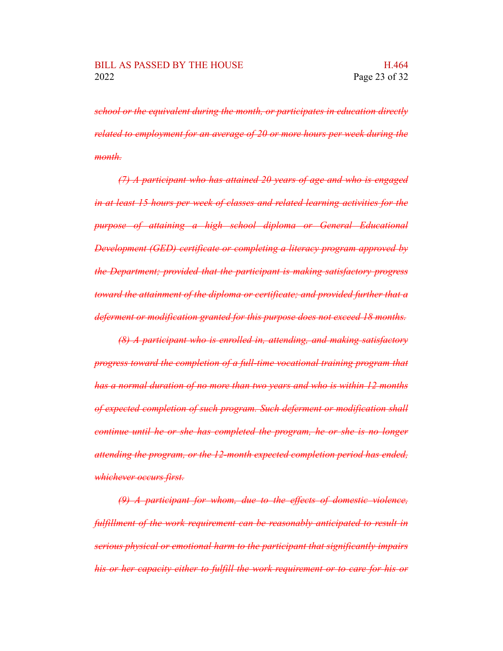*school or the equivalent during the month, or participates in education directly related to employment for an average of 20 or more hours per week during the month.*

*(7) A participant who has attained 20 years of age and who is engaged in at least 15 hours per week of classes and related learning activities for the purpose of attaining a high school diploma or General Educational Development (GED) certificate or completing a literacy program approved by the Department; provided that the participant is making satisfactory progress toward the attainment of the diploma or certificate; and provided further that a deferment or modification granted for this purpose does not exceed 18 months.*

*(8) A participant who is enrolled in, attending, and making satisfactory progress toward the completion of a full-time vocational training program that has a normal duration of no more than two years and who is within 12 months of expected completion of such program. Such deferment or modification shall continue until he or she has completed the program, he or she is no longer attending the program, or the 12-month expected completion period has ended, whichever occurs first.*

*(9) A participant for whom, due to the effects of domestic violence, fulfillment of the work requirement can be reasonably anticipated to result in serious physical or emotional harm to the participant that significantly impairs his or her capacity either to fulfill the work requirement or to care for his or*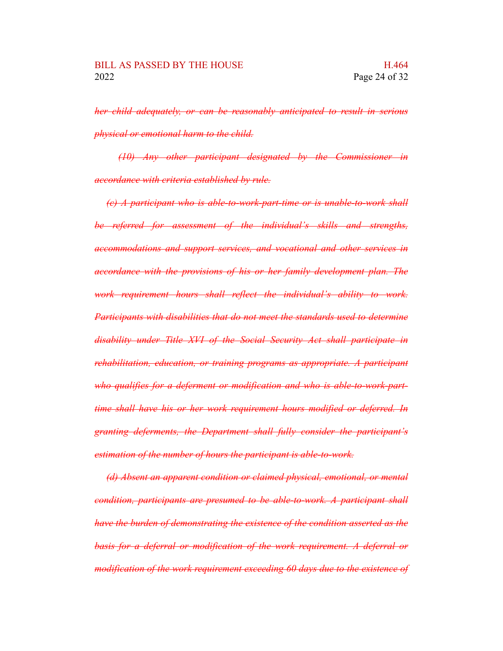*her child adequately, or can be reasonably anticipated to result in serious physical or emotional harm to the child.*

*(10) Any other participant designated by the Commissioner in accordance with criteria established by rule.*

*(c) A participant who is able-to-work-part-time or is unable-to-work shall be referred for assessment of the individual's skills and strengths, accommodations and support services, and vocational and other services in accordance with the provisions of his or her family development plan. The work requirement hours shall reflect the individual's ability to work. Participants with disabilities that do not meet the standards used to determine disability under Title XVI of the Social Security Act shall participate in rehabilitation, education, or training programs as appropriate. A participant who qualifies for a deferment or modification and who is able-to-work-parttime shall have his or her work requirement hours modified or deferred. In granting deferments, the Department shall fully consider the participant's estimation of the number of hours the participant is able-to-work.*

*(d) Absent an apparent condition or claimed physical, emotional, or mental condition, participants are presumed to be able-to-work. A participant shall have the burden of demonstrating the existence of the condition asserted as the basis for a deferral or modification of the work requirement. A deferral or modification of the work requirement exceeding 60 days due to the existence of*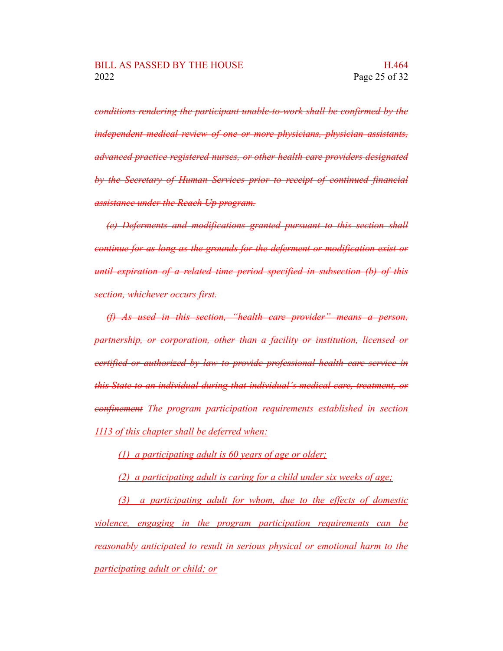*conditions rendering the participant unable-to-work shall be confirmed by the independent medical review of one or more physicians, physician assistants, advanced practice registered nurses, or other health care providers designated by the Secretary of Human Services prior to receipt of continued financial assistance under the Reach Up program.*

*(e) Deferments and modifications granted pursuant to this section shall continue for as long as the grounds for the deferment or modification exist or until expiration of a related time period specified in subsection (b) of this section, whichever occurs first.*

*(f) As used in this section, "health care provider" means a person, partnership, or corporation, other than a facility or institution, licensed or certified or authorized by law to provide professional health care service in this State to an individual during that individual's medical care, treatment, or confinement The program participation requirements established in section 1113 of this chapter shall be deferred when:*

*(1) a participating adult is 60 years of age or older;*

*(2) a participating adult is caring for a child under six weeks of age;*

*(3) a participating adult for whom, due to the effects of domestic violence, engaging in the program participation requirements can be reasonably anticipated to result in serious physical or emotional harm to the participating adult or child; or*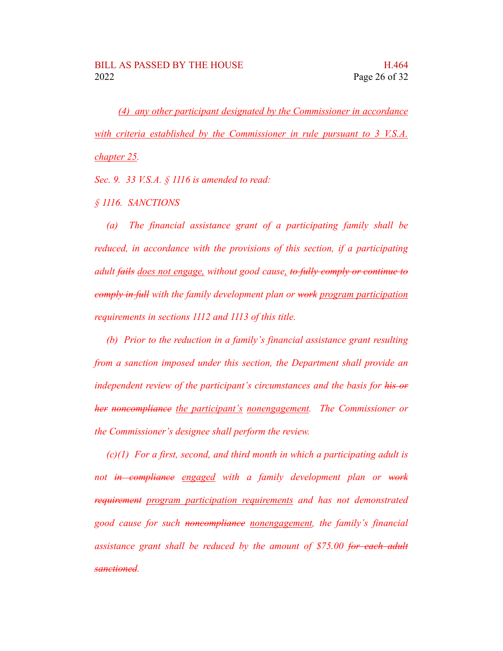*(4) any other participant designated by the Commissioner in accordance with criteria established by the Commissioner in rule pursuant to 3 V.S.A. chapter 25.*

*Sec. 9. 33 V.S.A. § 1116 is amended to read:*

*§ 1116. SANCTIONS*

*(a) The financial assistance grant of a participating family shall be reduced, in accordance with the provisions of this section, if a participating adult fails does not engage, without good cause, to fully comply or continue to comply in full with the family development plan or work program participation requirements in sections 1112 and 1113 of this title.*

*(b) Prior to the reduction in a family's financial assistance grant resulting from a sanction imposed under this section, the Department shall provide an independent review of the participant's circumstances and the basis for his or her noncompliance the participant's nonengagement. The Commissioner or the Commissioner's designee shall perform the review.*

*(c)(1) For a first, second, and third month in which a participating adult is not in compliance engaged with a family development plan or work requirement program participation requirements and has not demonstrated good cause for such noncompliance nonengagement, the family's financial assistance grant shall be reduced by the amount of \$75.00 for each adult sanctioned.*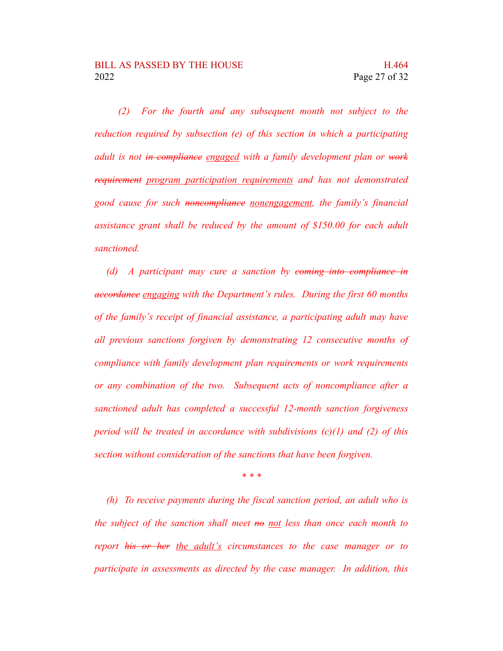*(2) For the fourth and any subsequent month not subject to the reduction required by subsection (e) of this section in which a participating adult is not in compliance engaged with a family development plan or work requirement program participation requirements and has not demonstrated good cause for such noncompliance nonengagement, the family's financial assistance grant shall be reduced by the amount of \$150.00 for each adult sanctioned.*

*(d) A participant may cure a sanction by coming into compliance in accordance engaging with the Department's rules. During the first 60 months of the family's receipt of financial assistance, a participating adult may have all previous sanctions forgiven by demonstrating 12 consecutive months of compliance with family development plan requirements or work requirements or any combination of the two. Subsequent acts of noncompliance after a sanctioned adult has completed a successful 12-month sanction forgiveness period will be treated in accordance with subdivisions (c)(1) and (2) of this section without consideration of the sanctions that have been forgiven.*

*\* \* \**

*(h) To receive payments during the fiscal sanction period, an adult who is the subject of the sanction shall meet no not less than once each month to report his or her the adult's circumstances to the case manager or to participate in assessments as directed by the case manager. In addition, this*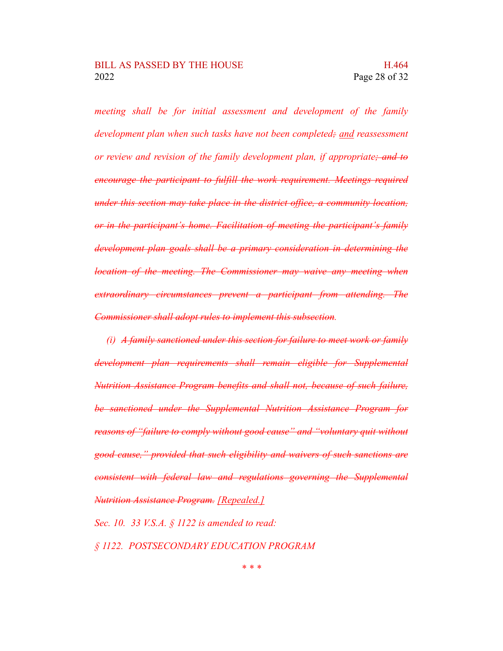*meeting shall be for initial assessment and development of the family development plan when such tasks have not been completed; and reassessment or review and revision of the family development plan, if appropriate; and to encourage the participant to fulfill the work requirement. Meetings required under this section may take place in the district office, a community location, or in the participant's home. Facilitation of meeting the participant's family development plan goals shall be a primary consideration in determining the location of the meeting. The Commissioner may waive any meeting when extraordinary circumstances prevent a participant from attending. The Commissioner shall adopt rules to implement this subsection.*

*(i) A family sanctioned under this section for failure to meet work or family development plan requirements shall remain eligible for Supplemental Nutrition Assistance Program benefits and shall not, because of such failure, be sanctioned under the Supplemental Nutrition Assistance Program for reasons of "failure to comply without good cause" and "voluntary quit without good cause," provided that such eligibility and waivers of such sanctions are consistent with federal law and regulations governing the Supplemental Nutrition Assistance Program. [Repealed.]*

*Sec. 10. 33 V.S.A. § 1122 is amended to read:*

*§ 1122. POSTSECONDARY EDUCATION PROGRAM*

*\* \* \**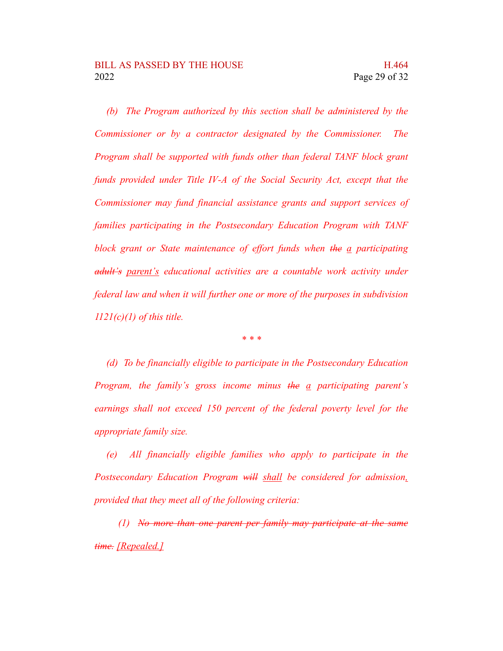*(b) The Program authorized by this section shall be administered by the Commissioner or by a contractor designated by the Commissioner. The Program shall be supported with funds other than federal TANF block grant funds provided under Title IV-A of the Social Security Act, except that the Commissioner may fund financial assistance grants and support services of families participating in the Postsecondary Education Program with TANF block grant or State maintenance of effort funds when the a participating adult's parent's educational activities are a countable work activity under federal law and when it will further one or more of the purposes in subdivision 1121(c)(1) of this title.*

*\* \* \**

*(d) To be financially eligible to participate in the Postsecondary Education Program, the family's gross income minus the a participating parent's earnings shall not exceed 150 percent of the federal poverty level for the appropriate family size.*

*(e) All financially eligible families who apply to participate in the Postsecondary Education Program will shall be considered for admission, provided that they meet all of the following criteria:*

*(1) No more than one parent per family may participate at the same time. [Repealed.]*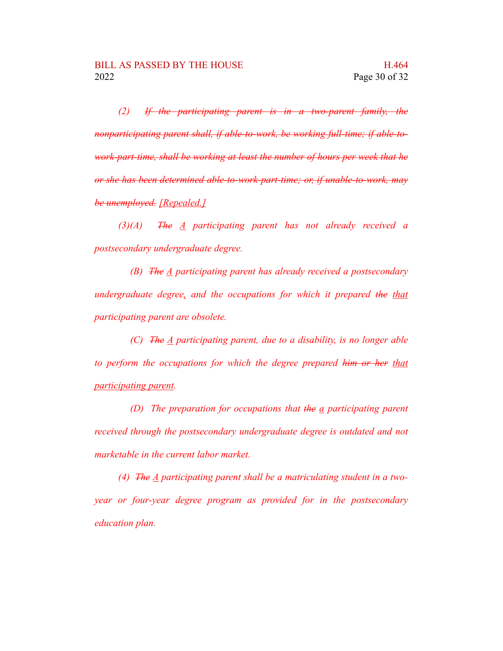*(2) If the participating parent is in a two-parent family, the nonparticipating parent shall, if able-to-work, be working full-time; if able-towork-part-time, shall be working at least the number of hours per week that he or she has been determined able-to-work-part-time; or, if unable-to-work, may be unemployed. [Repealed.]*

*(3)(A) The A participating parent has not already received a postsecondary undergraduate degree.*

*(B) The A participating parent has already received a postsecondary undergraduate degree, and the occupations for which it prepared the that participating parent are obsolete.*

*(C) The A participating parent, due to a disability, is no longer able to perform the occupations for which the degree prepared him or her that participating parent.*

*(D) The preparation for occupations that the a participating parent received through the postsecondary undergraduate degree is outdated and not marketable in the current labor market.*

*(4) The A participating parent shall be a matriculating student in a twoyear or four-year degree program as provided for in the postsecondary education plan.*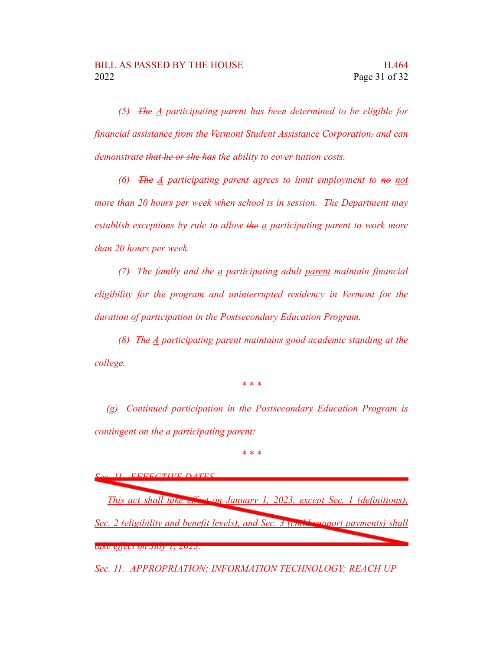*(5) The A participating parent has been determined to be eligible for financial assistance from the Vermont Student Assistance Corporation, and can demonstrate that he or she has the ability to cover tuition costs.*

*(6) The A participating parent agrees to limit employment to no not more than 20 hours per week when school is in session. The Department may establish exceptions by rule to allow the a participating parent to work more than 20 hours per week.*

*(7) The family and the a participating adult parent maintain financial eligibility for the program and uninterrupted residency in Vermont for the duration of participation in the Postsecondary Education Program.*

*(8) The A participating parent maintains good academic standing at the college.*

*\* \* \**

*(g) Continued participation in the Postsecondary Education Program is contingent on the a participating parent:*

*\* \* \**

*Sec. 11. EFFECTIVE DATES*

*This act shall take effect on January 1, 2023, except Sec. 1 (definitions), Sec. 2 (eligibility and benefit levels), and Sec. 3 (child support payments) shall take effect on July 1, 2023.*

*Sec. 11. APPROPRIATION; INFORMATION TECHNOLOGY; REACH UP*